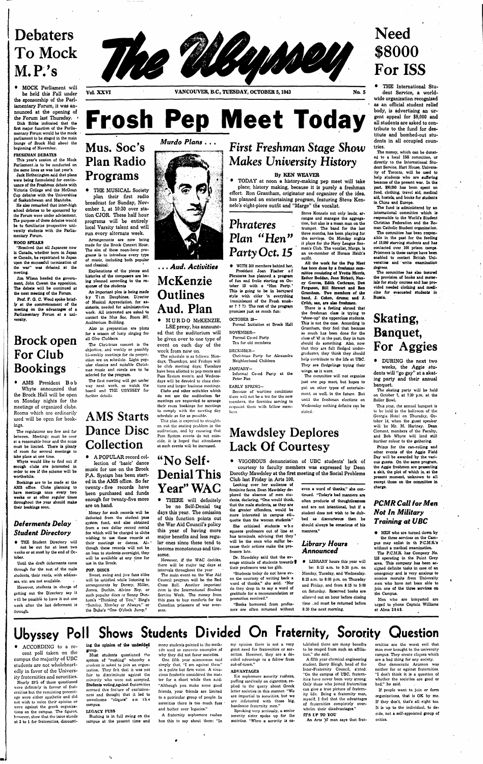# **Debaters To Mock M.P.'s**

• **MOCK** Parliament will be held this Fall under the sponsorship of the Parliamentary Forum, it was announced at the opening of the Forum last Thursday. • **Dick Bibbs indicated that the first major function of the Parliamentary Forum would be the mock parliament to be staged in the main lounge of Brock Hall about the beginning of November.** 

### **FRESHMAN DEBATES**

**This year's session of the Mock Parliament,is to be conducted on the same lines as was last year's.** 

**Jack Hetherington said that plans were being formulated for continuance of the Freshman debate with Victoria College and the McGoun Cup debates with the Universities of Saskatchewan and Manitoba.** 

**He also remarked that inter-high school debates to bo sponsored by tho Forum were under advisement. The purpose of these debates would be to familiarize prospective university students with the Parliamentary Forum.** 

### **WOOD SPEAKS**

**"Resolved that all Japanese now in Canada, whether born in Japan or Canada, be repatriated to Japan upon the successful termination of the war" was debated at the meeting.** 

**Jim Wilson headed the government, John Cowan the opposition. The debate will be continued at the next meeting of the Forum.** 

**Prof. F. Q. C. Wood spoke briefly at the commencement of the meeting on the advantages of a Parliamentary Forum at a university.** 

# **Brock open For Club Bookings**

• AMS President Bob Whyte announced that the Brock Hall will be open on Monday nights for the meetings of organized clubs. Rooms which are ordinarily used will be open for bookings.



**The regulations aro few and far between. Meetings must be over at a reasonable hour and the noise must be limited. There is plenty of room for several meetings to take place at one time.** 

**Whyte would like to find out if enough clubs are interested In order to see if the scheme will be worthwhile.** 

**Bookings are to be made at the AMS office. Clubs planning to have meetings once every two weeks or at other regular times throughout the year should make their bookings soon.** 

# *Deferments Delay Student Directory*

**• THE Student Directory wiU not be out tor at least two weeks or at most by the end of October.** 

**Until the draft deferments come through for the rest of the male students, their cards, with addresses, etc. are not available.** 

**However, students in charge of getting out the Directory say it vill be possible to have it out one week after the last deferment is through.** 

**Vol XXVI VANCOUVER, B.C., TUESDAY, OCTOBER 5,1943 No. 5** 

# **Frosh Pep Meet Today**

# **Mus. Soc's Plan Radio Programs**

not use the auditorium for **meetings nrc requested to arrange their room bookings for meetings to comply willi the meeting day schedule as far as possible.** 

• THE MUSICAL Society plan their first radio broadcast for Sunday, November 1, at 10:30 over station CJOR. These half hour programs will be entirely local Varsity talent and will run every alternate week.

**Arrangements are now being made for the Brock Concert Hour, Tho aim of these noon-hour programs is to Introduce every type of music, including both popular and classical. '** 

**Explanations of the pieces and histories of the composers are being planned according to the response of the students** 

**An Important plea is being made by Tim Dauphinee, Director of Musical Appreciation, for assistants, needed for administrative work. All interested are asked to contact the Mus Soc, Room 207, Auditorium Building.** 

**Also in preparation are plans for a season of lusty singing for all Glee Clubbers.** 

**The Christmas concert is the objective, and weekly or possibly bi-weekly meetings for its preparation are on schedule. Light popular classics and suitable Christmas music and carols are to be selected for the program.** 

**The first meeting will get under way next week, so watch the board and THE UBYSSEY for further detaib.** 

# **AMS Starts Dance Disc Collection**

• A POPULAR record collection of 'basic' dance music for use on the Brock P.A. System has been started in the AMS office. So far twenty - five records have been purchased and funds enough for twenty-five more are on hand.

**Money for such records will be deducted from the student pass system fund, and also obtained from a two dollar record rental fee which will be charged to clubs wishing to use these records at their meetings or dances. Al-' though these records will not be on loan to students overnight, they will be available at any time for use In the Brock.** 

### **POP. DISCS**

**Sweet, swing ond jive fans alike will bo satisfied while listening to arrangements by Dorsey, Miller, James, Duchin, Alvino Roy, or such popular discs as Sonny Dunham's "Thinking of You," Bing^ "Sunday, Monday or Always," or the Dulse's "One O'clock Jump."** 

# *Murdo Plans* **. . .**



# **. . .** *Aud, Activities*

# **McKenzie Outlines Aud. Plan**

• MURDO McKENZIE, LSE prexy, has announced that the auditorium will be given over to one type of event on each day of the week from now on.

**The schedule is as follows: Mondays, Thursdays, and Fridays will bo club meeting days; Tuesdays have been allotted to pep meets and Pass System events, and Wednesdays will be devoted to class elections and larger business meetings, Clubs and other activities which** 

**This plan is expected to straighten out thc seating problem in tho auditorium, and by ensuring that Pass System events do not coincide, it is hoped that attendance ot such events will be increased.** 

# **"No Self-Denial This Year" WAG**

• THERE will definitely be no Self-Denial tag days this year. The omission of this function points out the War Aid Council's policy this year of having more major benefits and less regular ones since these tend to become monotonous and tiresome.

**However, if the WAC decides, there will be major tag days at intervals throughout the ycar** 

**Tho main event on the War Aid Council program will bo the Red Cross Ball. Another important item is tho International Student Service Week. The money from this goes to buy comforts for the Canadian prisoners of war overseas.** 

# *First Freshman Stage Show Makes University History*

# By **KEN WEAVER**

• TODAY at noon a history-making pep meet will take place; history making, because it is purely a freshman effort. Ron Grantham, originator and organizer of the idea, has planned an entertaining program, featuring Steve Kennelo's eight-piece outfit and "Marge" the vocalist.

# **Phrateres Plan "Hen" Party Oct.** *15*

**• WITH 200 members behind her, President Joan Fischer of Phrateres has planned a program of fun and frolic starting on October 15 with a "Hen Party.' This is going to be In barnyard style with cider 'n everything (reminiscent of thc Frosh smoker ? ? ?) Thc rest of thc program promises just as much fun:** 

### **OCTOBER 28-**

**Formal Initiation at Brock Hall** 

### **NOVEMBER-**

**Formal Co-ed Party Tea for old members** 

### **DECEMBER-**

**Christmas Party for Alexandra Neighborhood Children** 

### **JANUARY-**

**Informal Co-ed Party at the Peter Pan** 

### **EARLY SPRING-**

**Bccausc of wartime conditions** 

**there will not be a tea for tho ncW members, the firesides serving to acquaint them with fellow members,** 

**Steve Kcnnele not only leads, arranges and manages the aggregation, but also is a mean man on the trumpet. The band for the last three months, has been playing for tho services. On Monday nights it plays for the Navy League Seamen's Club. The vocalist, Marge, is an ex-member ot Horace Heidt's** 

**outfit.** 

**All the work for the Pep Meet has been done by a freshman committee consisting of Yvette Morris, Esther Roddan, Joan Blrkctt, Nancy Graves, Edith Cochrane, Don Ferguson, BUI Stewart and Ron Grantham. Two members of the band, J. Cohen, drums; and J. Crlbb, sax, are also freshmen. There is a feeling abroad that the freshman class is trying to "show-up" the uppcrclass students. This is not the case. According to Grantham, they feel that because so much has been done for the class of '47 in the past, they in turn should do something. Also, now that they are full fledged undergraduates, they think they should help contribute to the life at UBC. They are fledgelings trying their** 

**wings, as it were.** 

**Tho committee will not organize just one pep meet, but hopes to put on other types of entertainment, as well, in the future. But until the freshman elections on Wednesday nothing definite can be** 

**stated.'** 

**Mawdsley Deplores Lack Of Courtesy** 

• VIGOROUS denunciation of UBC students' lack of courtesy to faculty members was expressed by Dean Dorothy Mawdsley at the first meeting of the Social Problems Club last Friday in Arts 100.

**Looking over her audience of feminine faces, Dean Mawdsley deplored the absence of men students, declaring, "One would think, that the male students, as they are Uie greater offenders, would be more Interested in campus eU-. quette than the women students." She criticised students who squeeze professors out of line at** 

**bus terminals, advising that they' will be the ones who suffer because their actions make the professors late.** 

**' Dr. Mawdsley said that the average attitude of students towards f their professors was too glib.** 

**"Students today do not have even the courtosy of writing back a word of thanks," she said. "Nor do they drop In to say a word of**  gratitude for a recommendation or **promotion received."** 

**"Books borrowed from professors aro often returned without** 

**even a word of thanks," she continued. "Today's bad manners are**  often products of thoughtlessness **and are not intentional, but If a student does not wish to be dubbed as discourteous then he should always be conscious of his manners."** 

# *Library Hours Announced*

**• LIBRARY hours this year will** 

**be: 8:15 a.m. to 9:30 p.m. on Monday, Tuesday, and Wednesday. 8:15 a.m. to 6:00 p.m. on Thursday and Friday, and from 8.15 to 5:00 en Saturday. Reserved books are allowed out an hour before closing time ..nd must be returned before 8:30 the next morning.** 

# **Need \$8000 For ISS**

• THE International Student Service, a worldwide organization recognized as an official student relief body, is advertising an urgent appeal for \$8,000 **and**  all students are asked to contribute to the fund for destitute and bombed-out students in all occupied coun-

tries. **The money, which can be donated to a local ISS committee, or directly to the International Student Service, Hart House, University of Toronto, will be used to help students who are suffering because of the present war. In the past, |90,000 has been spent on food, clothing, travel aid, medical aid, hostels, and books for students in China and Europe.** 

**The fund is administered by an international committee which is responsible to the World's Student Christian Federation and the Roman Catholic Student organization.** 

**The committee has been responsible in the past for the feeding of 15,000 starving students and has contacted over 100 prison camps. Prisoners in these camps have been enabled to contact British Universities and ' write examination degrees.** 

**Tho committee has also Insured the provision of books and materials for study courses and has provided needed clothing and medicine for evacuated students in Russia.** 

# **Skating, Banquet, For Aggies**

• DURING the next two weeks, the Aggie students will "go gay" at a skat-

ing party and their annual banquet. **The skating party will be held** 

**on October 7, at 7:30 p.m. at the** 

**Roller Bowl.** 

**This year, the annual banquet is to bo held in the ballroom of the Georgia Hotel on Thursday, October 14, when the guest speaker will be Mr. M. Hartney. Dean Clement, members of the Faculty, and Bob Whyte will lend still burther colour to the gathering.** 

**Prizes for the can-rolling and other events of the Aggie Field Day will be awarded by the various guests. On the same program, tho Aggie freshmen are presenting a skit, the plot of which is, at the present moment, unknown to all except those on the committee In charge.** 

# *PCMR Call for Men Not In Military Training at UBC*

**• MEN who are turned down by the three services on the Campus may enlist In th P.CM.R-'s without a medical examination.** 

**The P.C.M.R. has Company No. 118 operating in the Point Grey area. This company has been assigned definite tasks in case of an emergency and is very anxious to receive recruits from University men who have not been able to join one of the three services on the Campus.** 

**Men who are Interested are vjged to phone Captain Williams at Alma 2848.** 

# **Ubyssey Poll Shows Students Divided On Fraternity, Sorority Question**

• ACCORDING to a recent poll taken on the campus the majority of UBC students are not wholeheartstudents are not wholeheardedly in favor of the University fraternities and sororities. **Wearly 59% of those questioned** were definitely in favour of frat**ernities but the remaining percentage were either apathetic and did not wish to voice their opinion or were against tho greek organizations on tho campus. The figures, however, show that thc issue stands at 2 to 1 for fraternities, discount-**

### **ing the opinion of the undecided group.**

**Most students questioned tho system of "rushing" whereby a student is asked to join an organization. They felt that it was not fair to discriminate against the minority who were not accepted. Students voting.against fraternities scorned this feature of cxclusivencss and thought that it led to unwclcomo "cliques" on the campus.** 

### **LEGACY FUSS**

**Rushing is in full swing on the campus at the present time and** 

 $\tau_{\rm e}$ 

**many students pointed to thc methods used as concrete'examples .of why they did not favor societies.** 

**One fifth ycar scienceman said simply that, "I am against them" in a polite but firm voice. A vivacious freshette considered tho matter for a short while then said: "Although you make some good friends, your friends are limited to a patricular group of people. In sororities there is too much fuss and bother over legacies."** 

**A fraternity sophomore rushee has this to say about them: "In**  **my opinion there is not a very great need for fraternities or sororities. However, they aro a decided advantage to a fellow from out-of-town."** 

### **ADVANTAGES**

**Six sophomore sorority rushees, puffing carelessly on cigarettes, replied to the query about Greek letter societies in this manner. "We aro impartial to sororities, but we aro infatuated with those big, handsome fraternity men."** 

**Speaking very seriously, a senior sorority sister spoke up for the societies. "When a sorority is es-** **tablished thcro aro many benefits to be reaped from such an affiliation," she said.** 

**A fifth year chemical engineering student, Barry Sleigh, head of the Inter-Fraternity Council, stated: "On tho campus of UBC, fraternities have never been very strong, Only those who joined fraternities can give a true picture of fraternity life. Being a fraternity man, myself, I feel that tho advantages of fraternities completely overwhelm their disadvantages."** 

## **ITS UP TO YOU**

An Arts '47 man says that frat-

**ernities are tho worst evil that man ever brought to the university campus. They create cliques which are a bad thing for any society.** 

**One democratic Artsman was neither for or against fraternities. "I don't think it is a question of whether the societies are good or bad," he said.** 

**If people want to join or form organizations, that is OK by me. If they don't, that's all right too. It** *Is* **up to the Individual, to decide, not a self-appointed group of critics.**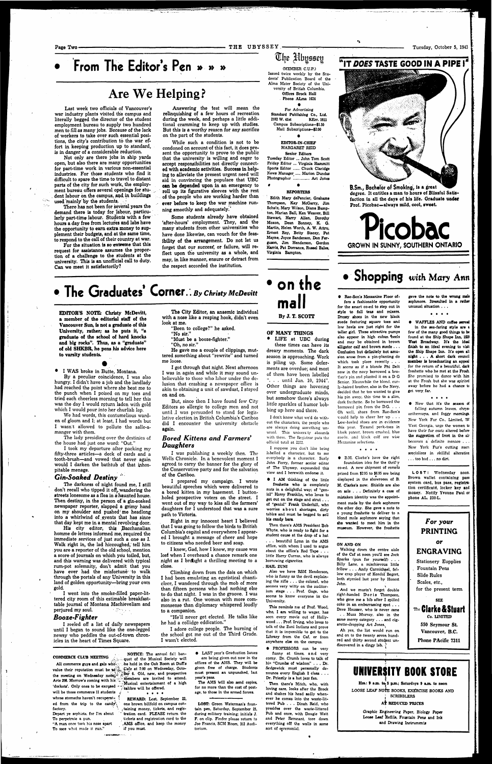**Page Two- THE UBYSSEY. -** Tuesday, October **5,** 1943

# **• From The Editor's Pen » » »**

# **Are We Helping ?**

**Not only are there jobs in ship yards open, but also there are many opportunities for part-time work in various non-essential industries. For those students who find it difficult to spare the time to travel to distant**  parts of the city for such work, the employ**ment bureau offers several openings for student labour on the campus, and in buildings**  used mainly by the students.

**Last week two officials of Vancouver's war industry plants visited the campus and literally begged the director of the student employment bureau to supply two hundred men to fill as many jobs. Because of the lack of workers to take over such essential positions, the city's contribution to the war effort in keeping production up to standard, is** *in* **danger of a considerable reduction.** 

**There has not been for several years the demand there is today for labour, particularly part-time labour. Students with a few hours a day free from lectures and labs have the opportunity to earn extra money to supplement their budgets, and at the same time, to respond to the call of their country at war.** 

**For the situation is so extreme that this request for assistance assumes the proportion of a challenge to the students at the university. This is an unofficial call to duty. Can we meet it satisfactorily?** 

**Answering the test will mean the relinquishing of a few hours of recreation during the week, and perhaps a little additional cramming to keep up with studies. But this is a worthy reason for any sacrifice on the part of the students.** 

**While such a condition is not to be condoned on account of this fact, it does present the opportunity to prove to the public that the university is willing and eager to accept responsibilities not directly connected with academic activities. Success in helping to alleviate the present urgent need will aid in convincing the populace that UBC**  can **be depended upon in an emergency to roll up its figurative sleeves with the rest of the people who are working harder than ever before to keep the war machine running smoothly and adequately.'** 

**I went into the smoke-filled paper-littered city room of this estimable breakfasttable journal of Montana Machievelism and perjured my soul.**   $\mathcal{L}^{\text{max}}$  , where  $\mathcal{L}^{\text{max}}$ 

**Some students already have obtained 'after-hours' employment. They, and the many students from other universities who have done likewise, can vouch for the feasibility of the arrangement. Do not let us**  forget that our success, or failure, will re**flect upon the university as a whole, and may, in like manner, ensure or detract from the respect accorded the institution.** 

I reeled off a list of daily newspapers until I began to sound like the one-legged newsy who peddles the out-of-town chronicles in the heart of Times Square.

# **The Graduates Corner..** *By Christy McDevitt*

**EDITOR'S NOTE: Christy McDevitt, a member of the editorial staff of the Vancouver Sun, is not a graduate of this University, rather; as he puts it, "a graduate of the school of hard knocks and big rocks". Thus, as a "graduate" of old SHKBR, he pens his advice here to varsity students.** 

• **I WAS** broke in Butte, Montana. **By** a peculiar coincidence, **I** was also hungry. I didn't have a job and the landlady had reached the point where she beat me to the punch when I poised on my toes and tried each cheerless morning to tell her this was the day I would return laden with gold which I would pour into her churlish lap. We had words, this contumelious warden of gloom and I; at least, I had words but I wasn t allowed to pollute the salle-amanger with them.

The lady presiding over the destinies of the house had just one word: "Out."

I took my departure after packing my fifty-three articles—a deck of cards and a tooth-brush—and vowed- that never again would **I** darken the bathtub of that inhospitable menage.

# *Gin-Soaked Destiny "*

All commerce guys and gals who. value their reputation must be at  $\mathcal{C}_{\text{cyc}}$  Cafe at 7:00 on Wednesday, Octothe meeting on Wednesday noon, **Figure 6.** Old, new, and prospective<br>Arts 208 Morrow's coming with his with members are invited to attend. **Arts 208. Morrow's coming with his 'dockets'. Only ones to be excysed will be those commerce 11 students**  whose stomachs haven't recuperat**ed from the trip to the candy<sup>1</sup> '. factory. Depart ye sophists, for I'm about To perpetrate a pun. "A man once took his nose apart To ssce what made it run."** 

**The darkness of night found me, I still don't recall who tipped it off,, wandering the streets lonesome as a flea in a haunted house. Then destiny, in the person of a gin-soaked newspaper reporter, slapped a grimy hand on my shoulder and pushed; me headlong**  into a whirlwind of events that has since **that day kept me in a mental revolving door.** 

> $\begin{array}{cccccccccccccc} \bullet & \bullet & \bullet & \bullet & \bullet & \bullet \end{array}$ **REWARD: Lost, September 22, one brown billfold on campus confining money, tickets, and regis**tration card. PLEASE return the **tickets and registration card to the , AMS office, and keep the money if you must.**

**His city editor, this Bacchanalian homme de lettres informed me, required the immediate services of just such a one as I. Walk right in, the lad hiccoughed,' tell him you are a reporter of the old school, mention a score of journals on which you toiled, but, and this warning was delivered with typical rum-pot solemnity, don't admit that you**  have ever had the misfortune to walk **through the portals of any University in this land of golden opportunity—bring your own gold.** 

**Senior Editors Tuesday Editor .." John Tom Scott Friday Editor .... Virginia Hammitt Sports Editor ...\_... Chuck Claridge News Manager ...... Marion Dundas** Photographer ................... Art Jones

## *Booze-Fighter*

**The City Editor, an anaemic individual with a nose like a reaping hook, didn't even look at me.** 

- **"Been to college?" he asked.**
- **"No sir."**
- **"Must be a booze-fighter."**
- **"Oh, no sir."**

**He gave me a couple of clippings, muttered something about** "rewrite" **and turned**  me loose.

> Then there's AMS President Bob **Whyte, who is ready to fight for a student cause at the drop of a hat**

**I** got through **that** night. Next afternoon **I** was in again and while it may sound unbelievable to those who labor under tho delusion that crashing a newspaper office is akin to obtaining a unit of sawdust, I stayed on **and** on.

But, since then I have found few City Editors so allergic to college men and not until .1 was persuaded to stand for legislative election in British Columbia's Cariboo did I encounter the university obstacle **again.** 

# *Bored Kittens and Farmers' Daughters*

**Then there's Mitch, who, with loving care, looks after the Brock and shakes his head sadly when**ever he comes into the waste-lit**tered Pub . . . Dinah Reid, who presides over the waste-littered Pub and once, with Dougie Watt end Peter Remnant, tore down everything off the walls In some**  sort of ceremonial.

**I** was publishing a weekly then. Tho Wells Chronicle. In a benevolent moment I agreed to carry the banner for the glory of the Conservative party and for the salvation of **the** Cariboo.

**B.Sm., Bachelor of Smoking, is a great degree. It entitles a man to hours of Blissful Satisfaction in all the days of his life. Graduate under Prof. Picobac—always mild, cool, sweet.** 

I prepared my campaign. I wrote beautiful speeches which **were delivered** to **a bored kitten in** my basement. **I buttonholed prospective** voters **on the** street. **I**  went **out of my way to kiss all the farmers' daughters for I understood that was a sure path to Victoria.** 

**Right in my innocent heart I believed that I** was going **to** follow **the birds to** British **Columbia's capitol and** everywhere **I** appeared **I** brought a message **of** cheer **and** hope to **citizens who** needed beer **and** soap.

**I** knew, **Gad,** how **I** knew, my cause was **lost! when I** overheard **a** chance **remark** one night as **I brctight** a thrilling meeting **to** a **close.** 

Climbing down from the dais **on** which **I** had been emulating an egotistical chanticleer, I wandered through the mob of more than fifteen persons who had nothing else to do that night. I was in the groove. I was also in a rut. One woman with more commonsense than diplomacy whispered loudly to a companion.

"He'll never get elected. He talks like he had a collidge eddication."

I adore college people. The burning of the school got me out of the Third Grade. I wasn't elected.

# **COMMERCE CLUB MEETING**

**Ah yes, the list would run on and on to the twenty seven hundred and thirty second student un**discovered in a dingy lab.

**NOTICE: The annual fall banquet of the Musical Society will be held in the Oak Room at Duff's ^Musical entertainment of a high !• calibre will be offered.** 

**• LAST year's Graduation Issues are being given out now in the offices of the AMS. They will be given free of charge. Students must present an unpunched, last year's pass.** 

> Hrs.: 9 a.m. to 5 p.m.; Saturdays 9 a.m. to neon **LOOSE LEAF NOTE BOOKS, EXERCISE BOOKS AND <sup>J</sup>SCRIBBLERS**

> > AT REDUCED PRICES

**The AMS Will also send copies, for no more than the cost of postage, to those in the armed forces.** 

**LOST: Green Waterman's fountain pen, Saturday, September 25, during military training; initials J. P. on clip. Finder please return to Joe Francis, SCM Room, 312 Auditorium.** 



**Issued twice weekly by the Students' Publication Board of the Alma Mater Society of the University of British Columbia. Offices Brock Hall Phone ALma 1624** 

**For Advertising Standard Publlsliing Co., Ltd. 2182 W. 41st KErr. 1811 Campus Subscriptions—\$1.50 Mail Subscriptions—\$2.00** 

# **• EDITOR-IN-CHIEF MARGARET REID**

### *e* **• REPORTERS**

**Edith Mary dePencier, Grahams Thompson, Kay McGarry, Jim Schatz, Mary Wilson, Diana Bampton, Marian Ball, Ken Weaver, Bill Stewart, Harry Allen, Dorothy Moxon, Dean Bonney, K. O. Martin, Helen Worth, A. W. Attru, Ernest Roy, Betty Stacey, Pat Mayne, Joyce Sanderson, Don Ferguson, Jim Henderson, Gordon Harris, Pat Dorrance, Russel Bales, Virginia Bampton.** 



## **OF MANY THINGS**

**• LIFE at UBC during**  these times can **have its dreary** moments. **The dark**  season ia approaching. Work is piling up. Some deferments are overdue; and most of them have been labelled ". . . until Jan. 10, 1944". Other things are hovering

over undergraduate minds, but somehow there's always little sparkles of humor bobbing up here and there.

**I don't know what we'd do without the characters, the people who are always doing something unusual. This university abounds with them. Thc Registrar puts tho official total at 2372.** 

**I suppose you don't like being labelled o character, but to me everybody is a character. Surly John Ferry, former senior editor of The Ubyssey, expounded this view and I herewith endorse it.** 

**• I AM thinking of the little** 

**freshette who is completely nuts in a delightful way; of "genial" Harry Franklin, who loves to get out on the stage and strut . . . of "genial" Frank Underhill, who worries about shortages, dirty tables and must be begged to sell his candy bars.** 

**. . . beautiful Lynn In the AMS office, with whom I used to argue about the office's Red Tape . . . little Harry Curran, who is always borrowing cigarettes. HAIL ZUNI** 

**Also we have RSM Henderson, who is funny as the devil explaining the rifle .. . the colonel, who seemes very witty on the auditorium stage . . . Prof. Gage, who seems to know everyone In tho University.** 

**This reminds rae of Prof. Wood, who, I am willing to wager, has seen every movie out of Hollywood .. . Prof. Irving, who loves to talk of the Zuni Indians and prove that it is impossible to get to the Library from the Caf, or from anywhere else on the campus.** 

**• PROFESSORS can be very funny at times, and very comy. Dr. Crumb loves to talk of hi\* "Crumbs of wisdom" .. . Dr. Sedgewick must personally denounce every English 2 class . . . Dr. PriesUy is a hot jazz fan.** 

# **ix\T DOES TASTE GOOD IN A PIPE I a**





**Shopping** *with Mary* Ann

**• Rae-Son's Mezzanine Floor offers a fashionable opportunity for tho smart co-ed to step out in style to fall teas and mixers. Dressy shoes in the new black suede featuring square toes and low heels are just right for the taller girl. These attractive pumps**  also appear in high cuban heels **and may be obtained in brown alligator calf and brown suede . . . Confusion but definitely hot amusion arose from a pin-planting do which took place recently . . . It seems as if a blonde Phi Delt now in thc navy borrowed a brother's pin and planted it on a D G Senior. Meanwhile the blond, cur-**

**ly-haired brother, also in the Navy, decided that ho too wanted to give his pin away, this time to a slim, dark freshette. So he borrowed the borrowed pin from the D.G. . . . Oh well, shoes from Rae-Son's would help to cheer her up . . . Low-heeled shoes are in evidence this ycar. Ticsand peok-toes in black patent, brown crushed, blue suede, and black calf are wise Mezzanine selections.** 

 $\begin{array}{cccccccccc} \bullet & \bullet & \bullet & \bullet & \bullet & \bullet \end{array}$ 

**• B.M. Clarke's have the right**  foundation idea for the thrifty **co-ed, A new shipment of corsets priced from \$2.95 to \$6.95 are being displayed in the showroom of B. M. Clarke's now. Shields are also on sale . . . Definitely a case of mistaken identity was the appointment made by the dark sophmore the other day. She gave a note to a young freshette to deliver to a blond male soplunore saying that she wanted to meet him in the museum. However, the freshette** 

### **ON AND ON**

**Walking down the centre aisle of the Caf at noon you'll see Jack Sparks (pun for yourself) . . . Billy Lane, a mischievous little fellow . . . Andy Carmichael, fellow crap player of Kendal' Begert, both stymied last ycar by Honest John.** 

**And we mustn't forget double right-handed Doris Thompson, who gave me a bib after I spilled coke in an embarrassing spot . . . Dave Housser, who Is never cane . . Muzz Murray, also in the same merry category . . . and cigarette-dropping Art Jones.** 

**gave the note to the wrong mala sophmore. Itresulted in a rather unusual situation . . .** 

 $\begin{array}{cccccccccccccc} 0 & 0 & 0 & 0 & 0 & 0 \end{array}$ 

**>.** 

**• WAFFLES AND coffee served in the sea-faring style are a few of the many good things to be found at the Ship Shape Inn, 1SU West Broadway. It's the Ideal finish to an ideal evening to visit the Ship Shape Inn. It's open all night .. . A short dark council member is broadcasting an appeal for the return of a beautiful, dark freshette who he met at the Frosh. She promised to dance with him at tho Frosh but she was spirited away before he had a chance to** 

**get very far.** 

**\* • • • • Now that it's the season of** 

**falling autumn leaves, chrysanthemums, and foggy mornings, New York Fur Co., Limited, 797 West Georgia, urge the women to have their fur coat; altered before the suggestion of frost In the air becomes a definite menace . . . New York Fur's cutting room**  scecializes in skillful alteration **. . . too bad .. . no dirt.** 

**LOST: Wednesday noon. Brown wallet containing pass system card, bus pass, registration certificate, locker key and money. Notify Yvonne Paul or phone AL. 230-L.** 

# *For your*  **PRINTING**  *or*  **ENGRAVING**  Stationery Eupplies , Fountain Pens Slide Rules Scales, etc., for the present **term SEE The Clarke & Stuart Co. LIMITED 550 Seymour St Vancouver, B.C. Phone PAciflc 7311**



ria.

**Graphic Engineering Paper, Biology Paper**  Loose Leaf *Refills*, Fountain Pens and Ink **and Drawing Instruments** 

**• fc\* 1 l« w •**